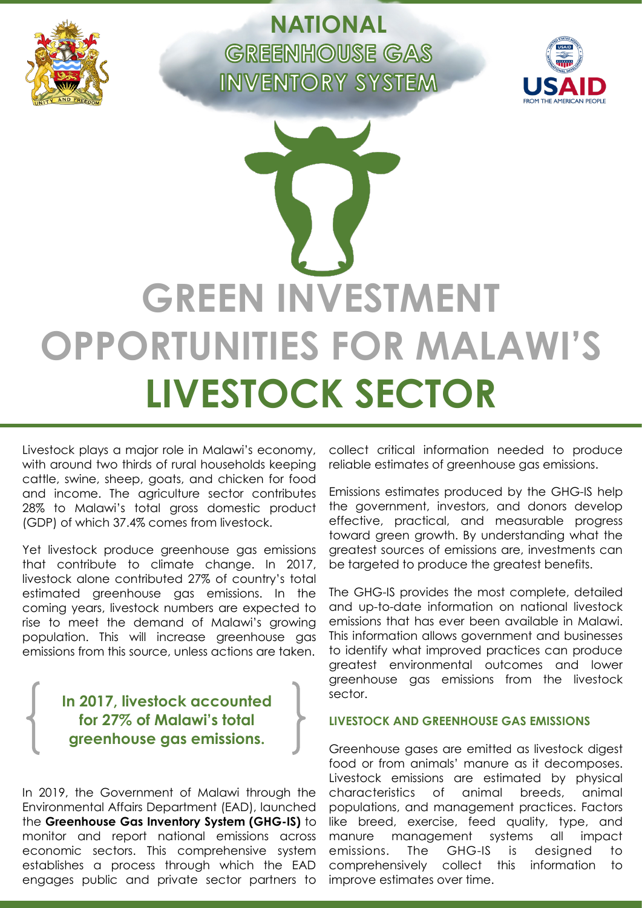

**NATIONAL GREENHOUSE GAS INVENTORY SYSTEM** 



# **GREEN INVESTMENT OPPORTUNITIES FOR MALAWI'S LIVESTOCK SECTOR**

Livestock plays a major role in Malawi's economy, with around two thirds of rural households keeping cattle, swine, sheep, goats, and chicken for food and income. The agriculture sector contributes 28% to Malawi's total gross domestic product (GDP) of which 37.4% comes from livestock.

Yet livestock produce greenhouse gas emissions that contribute to climate change. In 2017, livestock alone contributed 27% of country's total estimated greenhouse gas emissions. In the coming years, livestock numbers are expected to rise to meet the demand of Malawi's growing population. This will increase greenhouse gas emissions from this source, unless actions are taken.

# **In 2017, livestock accounted for 27% of Malawi's total greenhouse gas emissions.**

In 2019, the Government of Malawi through the Environmental Affairs Department (EAD), launched the **Greenhouse Gas Inventory System (GHG-IS)** to monitor and report national emissions across economic sectors. This comprehensive system establishes a process through which the EAD engages public and private sector partners to

collect critical information needed to produce reliable estimates of greenhouse gas emissions.

Emissions estimates produced by the GHG-IS help the government, investors, and donors develop effective, practical, and measurable progress toward green growth. By understanding what the greatest sources of emissions are, investments can be targeted to produce the greatest benefits.

The GHG-IS provides the most complete, detailed and up-to-date information on national livestock emissions that has ever been available in Malawi. This information allows government and businesses to identify what improved practices can produce greatest environmental outcomes and lower greenhouse gas emissions from the livestock sector.

### **LIVESTOCK AND GREENHOUSE GAS EMISSIONS**

Greenhouse gases are emitted as livestock digest food or from animals' manure as it decomposes. Livestock emissions are estimated by physical characteristics of animal breeds, animal populations, and management practices. Factors like breed, exercise, feed quality, type, and manure management systems all impact emissions. The GHG-IS is designed to comprehensively collect this information to improve estimates over time.